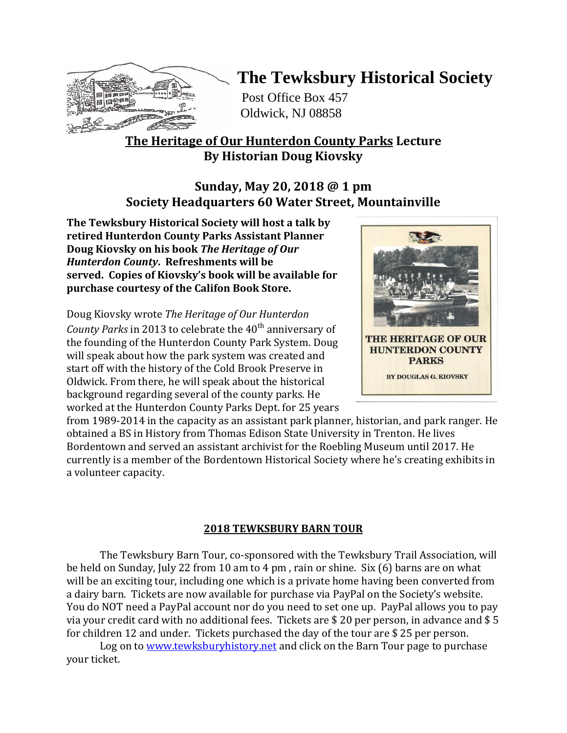

# **The Tewksbury Historical Society**

Post Office Box 457 Oldwick, NJ 08858

## **The Heritage of Our Hunterdon County Parks Lecture By Historian Doug Kiovsky**

### **Sunday, May 20, 2018 @ 1 pm Society Headquarters 60 Water Street, Mountainville**

**The Tewksbury Historical Society will host a talk by retired Hunterdon County Parks Assistant Planner Doug Kiovsky on his book** *The Heritage of Our Hunterdon County***. Refreshments will be served. Copies of Kiovsky's book will be available for purchase courtesy of the Califon Book Store.**

Doug Kiovsky wrote *The Heritage of Our Hunterdon County Parks* in 2013 to celebrate the 40<sup>th</sup> anniversary of the founding of the Hunterdon County Park System. Doug will speak about how the park system was created and start off with the history of the Cold Brook Preserve in Oldwick. From there, he will speak about the historical background regarding several of the county parks. He worked at the Hunterdon County Parks Dept. for 25 years



from 1989-2014 in the capacity as an assistant park planner, historian, and park ranger. He obtained a BS in History from Thomas Edison State University in Trenton. He lives Bordentown and served an assistant archivist for the Roebling Museum until 2017. He currently is a member of the Bordentown Historical Society where he's creating exhibits in a volunteer capacity.

### **2018 TEWKSBURY BARN TOUR**

The Tewksbury Barn Tour, co-sponsored with the Tewksbury Trail Association, will be held on Sunday, July 22 from 10 am to 4 pm , rain or shine. Six (6) barns are on what will be an exciting tour, including one which is a private home having been converted from a dairy barn. Tickets are now available for purchase via PayPal on the Society's website. You do NOT need a PayPal account nor do you need to set one up. PayPal allows you to pay via your credit card with no additional fees. Tickets are \$ 20 per person, in advance and \$ 5 for children 12 and under. Tickets purchased the day of the tour are \$ 25 per person.

Log on to [www.tewksburyhistory.net](http://www.tewksburyhistory.net/) and click on the Barn Tour page to purchase your ticket.